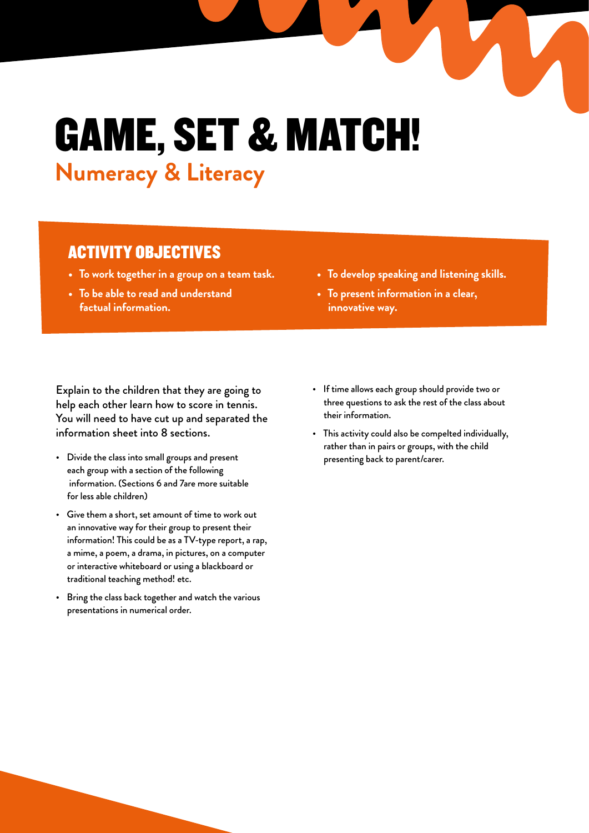# GAME, SET & MATCH! **Numeracy & Literacy**

#### ACTIVITY OBJECTIVES

- **• To work together in a group on a team task.**
- **• To be able to read and understand factual information.**
- **• To develop speaking and listening skills.**
- **• To present information in a clear, innovative way.**

Explain to the children that they are going to help each other learn how to score in tennis. You will need to have cut up and separated the information sheet into 8 sections.

- Divide the class into small groups and present each group with a section of the following information. (Sections 6 and 7are more suitable for less able children)
- Give them a short, set amount of time to work out an innovative way for their group to present their information! This could be as a TV-type report, a rap, a mime, a poem, a drama, in pictures, on a computer or interactive whiteboard or using a blackboard or traditional teaching method! etc.
- Bring the class back together and watch the various presentations in numerical order.
- If time allows each group should provide two or three questions to ask the rest of the class about their information.
- This activity could also be compelted individually, rather than in pairs or groups, with the child presenting back to parent/carer.